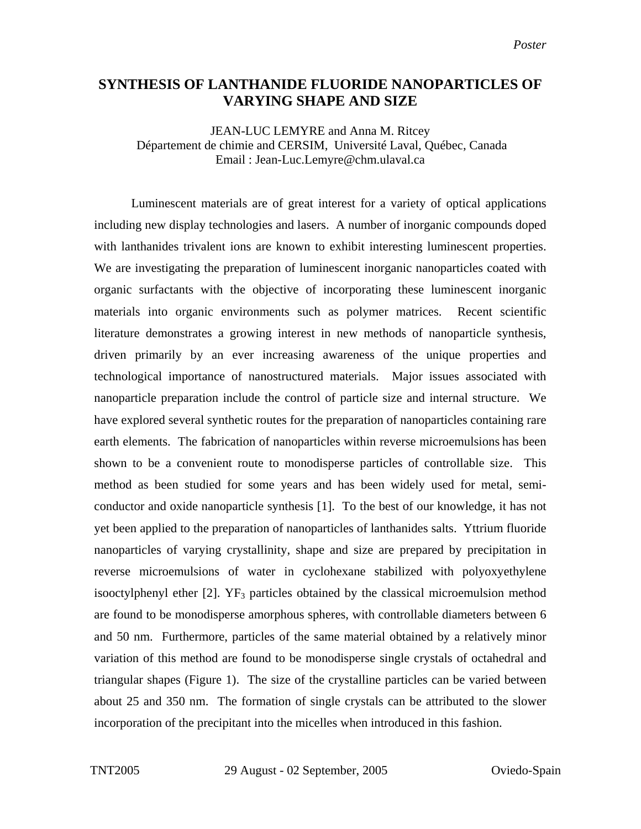## **SYNTHESIS OF LANTHANIDE FLUORIDE NANOPARTICLES OF VARYING SHAPE AND SIZE**

JEAN-LUC LEMYRE and Anna M. Ritcey Département de chimie and CERSIM, Université Laval, Québec, Canada Email : Jean-Luc.Lemyre@chm.ulaval.ca

Luminescent materials are of great interest for a variety of optical applications including new display technologies and lasers. A number of inorganic compounds doped with lanthanides trivalent ions are known to exhibit interesting luminescent properties. We are investigating the preparation of luminescent inorganic nanoparticles coated with organic surfactants with the objective of incorporating these luminescent inorganic materials into organic environments such as polymer matrices. Recent scientific literature demonstrates a growing interest in new methods of nanoparticle synthesis, driven primarily by an ever increasing awareness of the unique properties and technological importance of nanostructured materials. Major issues associated with nanoparticle preparation include the control of particle size and internal structure. We have explored several synthetic routes for the preparation of nanoparticles containing rare earth elements. The fabrication of nanoparticles within reverse microemulsions has been shown to be a convenient route to monodisperse particles of controllable size. This method as been studied for some years and has been widely used for metal, semiconductor and oxide nanoparticle synthesis [1]. To the best of our knowledge, it has not yet been applied to the preparation of nanoparticles of lanthanides salts. Yttrium fluoride nanoparticles of varying crystallinity, shape and size are prepared by precipitation in reverse microemulsions of water in cyclohexane stabilized with polyoxyethylene isooctylphenyl ether  $[2]$ . YF<sub>3</sub> particles obtained by the classical microemulsion method are found to be monodisperse amorphous spheres, with controllable diameters between 6 and 50 nm. Furthermore, particles of the same material obtained by a relatively minor variation of this method are found to be monodisperse single crystals of octahedral and triangular shapes (Figure 1). The size of the crystalline particles can be varied between about 25 and 350 nm. The formation of single crystals can be attributed to the slower incorporation of the precipitant into the micelles when introduced in this fashion.

TNT2005 29 August - 02 September, 2005 Oviedo-Spain